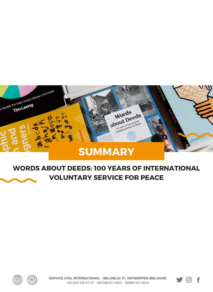

#### WORDS ABOUT DEEDS: 100 YEARS OF INTERNATIONAL VOLUNTARY SERVICE FOR PEACE



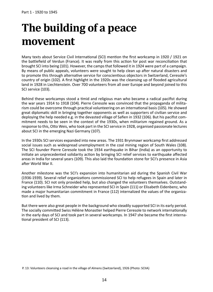# **The building of a peace movement**

Many texts about Service Civil International (SCI) mention the first workcamp in 1920 / 1921 on the battlefield of Verdun (France). It was really from this action for post war reconciliation that brought SCI into being (101). However, the camps that followed it in 1924 were part of a campaign. By means of public appeals, volunteers were sought to help clean up after natural disasters and to promote this through alternative service for conscientious objectors in Switzerland, Ceresole's country of origin (102). A first highlight in the 1920s was the cleansing up of flooded agricultural land in 1928 in Liechtenstein. Over 700 volunteers from all over Europe and beyond joined to this SCI service (103).

Behind these workcamps stood a timid and religious man who became a radical pacifist during the war years 1914 to 1918 (104). Pierre Ceresole was convinced that the propaganda of militarism could be overcome through practical volunteering on an international basis (105). He showed great diplomatic skill in bringing together opponents as well as supporters of civilian service and deploying the help needed e.g. in the devasted village of Safien in 1932 (106). But his pacifist commitment needs to be seen in the context of the 1930s, when militarism regained ground. As a response to this, Otto Weis, who took part in the SCI service in 1928, organised passionate lectures about SCI in the emerging Nazi Germany (107).

In the 1930s SCI services expanded into new areas. The 1931 Brynmawr workcamp first addressed social issues such as widespread unemployment in the coal mining region of South Wales (108). The SCI founder Pierre Ceresole took the 1934 earthquake in Bihar (India) as an opportunity to initiate an unprecedented solidarity action by bringing SCI relief services to earthquake affected areas in India for several years (109). This also laid the foundation stone for SCI's presence in Asia after World War II.

Another milestone was the SCI's expansion into humanitarian aid during the Spanish Civil War (1936-1939). Several relief organizations commissioned SCI to help refugees in Spain and later in France (110). SCI not only provided help, but also changed the volunteers themselves. Outstanding volunteers like Irma Schneider who represented SCI in Spain (111) or Elisabeth Eidenbenz, who made a major humanitarian commitment in France (112) internalized the values of the organization and lived by them.

But there were also great people in the background who steadily supported SCI in its early period. The socially committed Swiss Hélène Monastier helped Pierre Ceresole to network internationally in the early days of SCI and took part in several workcamps. In 1947 she became the first international president of SCI (113).

P. 13: Volunteers cleansing a road in the village of Almens (Switzerland), 1926 (Photo: SCIIA)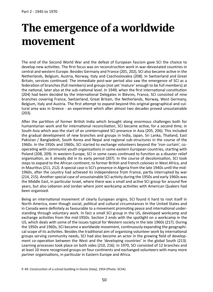### **The emergence of a worldwide movement**

The end of the Second World War and the defeat of European fascism gave SCI the chance to develop new activities. The first focus was on reconstruction work in war-devastated countries in central and western Europe. Besides Germany and France (201, 202), SCI also became active in the Netherlands, Belgium, Austria, Norway, Italy and Czechoslovakia (208). In Switzerland and Great Britain, services continued. The immediate post-war period also saw the emergence of SCI as a federation of branches (full members) and groups (not yet 'mature' enough to be full members) at the national, later also at the sub-national level. In 1949, when the first international constitution (204) had been decided by the International Delegates in Bièvres, France, SCI consisted of nine branches covering France, Switzerland, Great Britain, the Netherlands, Norway, West Germany, Belgium, Italy and Austria. The first attempt to expand beyond this original geographical and cultural area was in Greece - an experiment which after almost two decades proved unsustainable (203).

After the partition of former British India which brought along enormous challenges both for humanitarian work and for international reconciliation, SCI became active, for a second time, in South Asia which was the start of an uninterrupted SCI presence in Asia (205, 206). This included the gradual development of new branches and groups in India, Japan, Sri Lanka, Thailand, East Pakistan / Bangladesh, South Korea and Nepal and regional sub-structures in the course of the 1960s. In the 1950s and 1960s, SCI started to exchange volunteers beyond the 'iron curtain', cooperating with communist youth organisations in some eastern European countries, starting with Poland (208, 209). In western Europe, SCI in some cases continued to function as a disaster relief organisation, as it already did in its early period (207). In the course of decolonisation, SCI took steps to expand to the African continent, to former British and French colonies in West Africa, and in Mauritius (211, 212). A special case is SCI's presence in Algeria from the late 1940s until the mid-1960s, after the country had achieved its independence from France, partly interrupted by war (214, 215). Another special case of unsustainable SCI activity during the 1950s and early 1960s was the Middle East, in particular Israel, where there was a small and active SCI group for around five years, but also Lebanon and Jordan where joint workcamp activities with American Quakers had been organised.

Being an international movement of clearly European origins, SCI found it hard to root itself in North America, even though social, political and cultural circumstances in the United States and in Canada were definitely as favourable to a movement promoting peace and international understanding through voluntary work. In fact a small SCI group in the US, developed workcamp and exchange activities from the mid-1950s. Section 2 ends with the spotlight on a workcamp in the US, which deals with some of the issues typical for Western society in the late 1960s (217). During the 1950s and 1960s, SCI became a worldwide movement, continuously expanding the geographical scope of its activities. Besides the traditional aim of organising volunteer work by international groups serving community needs, SCI had also become an actor in the growing field of development co-operation between the West and the 'developing countries' in the global South (213). Learning processes took place on both sides (210, 216). In 1970, SCI consisted of 12 branches and at least 10 more recognised groups on four continents and exchanged volunteers with many more partner organisations, in particular in Eastern Europe and Africa.

P. 49: Construction of a school building in Donisi (Italy), 1954 (Photo: SCIIA)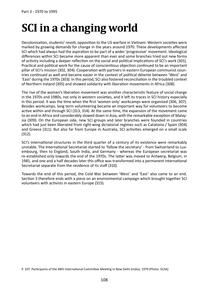# **SCI in a changing world**

Decolonisation, students' revolt, opposition to the US warfare in Vietnam: Western societies were marked by growing demands for change in the years around 1970. These developments affected SCI which had always had the aspiration to be part of a wider 'progressive' movement. Ideological differences within SCI became more apparent than ever and some branches tried out new forms of activity including a deeper reflection on the social and political implications of SCI's work (301). Practical and political work for the cause of conscientious objection continued to be an important pillar of SCI's mission (302, 304). Cooperation with partners in eastern European communist countries continued as well and became easier in the context of political détente between 'West' and 'East' during the 1970s (303). In this period, SCI also fostered reconciliation in the troubled context of Northern Ireland (305) and showed solidarity with liberation movements in Africa (308).

The rise of the women's liberation movement was another characteristic feature of social change in the 1970s and 1980s, not only in western societies, and it left its traces in SCI history especially in this period. It was the time when the first 'women only' workcamps were organised (306, 307). Besides workcamps, long term volunteering became an important way for volunteers to become active within and through SCI (313, 314). At the same time, the expansion of the movement came to an end in Africa and considerably slowed down in Asia, with the remarkable exception of Malaysia (309). On the European side, new SCI groups and later branches were founded in countries which had just been liberated from right-wing dictatorial regimes such as Catalonia / Spain (304) and Greece (311). But also far from Europe in Australia, SCI activities emerged on a small scale (312).

SCI's international structures in the third quarter of a century of its existence were remarkably unstable. The International Secretariat started to 'follow the secretary' - from Switzerland to Luxembourg, then to England, South India, and Germany - whereas the European secretariat was re-established only towards the end of the 1970s. The latter was moved to Antwerp, Belgium, in 1981, and one and a half decades later this office was transformed into a permanent International Secretariat separate from the residence of its staff (310).

Towards the end of this period, the Cold War between 'West' and 'East' also came to an end. Section 3 therefore ends with a piece on an environmental campaign which brought together SCI volunteers with activists in eastern Europe (315).